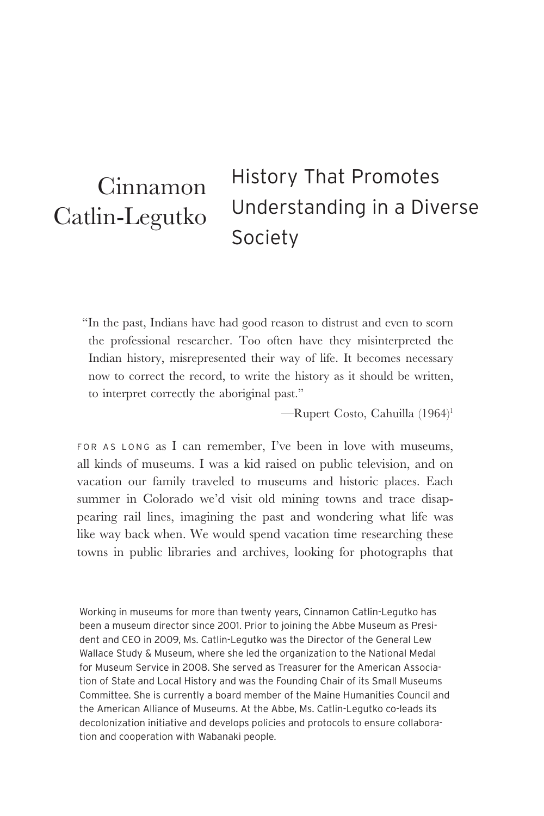## Cinnamon Catlin-Legutko

History That Promotes Understanding in a Diverse Society

"In the past, Indians have had good reason to distrust and even to scorn the professional researcher. Too often have they misinterpreted the Indian history, misrepresented their way of life. It becomes necessary now to correct the record, to write the history as it should be written, to interpret correctly the aboriginal past."

—Rupert Costo, Cahuilla  $(1964)^1$ 

FOR AS LONG as I can remember, I've been in love with museums, all kinds of museums. I was a kid raised on public television, and on vacation our family traveled to museums and historic places. Each summer in Colorado we'd visit old mining towns and trace disappearing rail lines, imagining the past and wondering what life was like way back when. We would spend vacation time researching these towns in public libraries and archives, looking for photographs that

Working in museums for more than twenty years, Cinnamon Catlin-Legutko has been a museum director since 2001. Prior to joining the Abbe Museum as President and CEO in 2009, Ms. Catlin-Legutko was the Director of the General Lew Wallace Study & Museum, where she led the organization to the National Medal for Museum Service in 2008. She served as Treasurer for the American Association of State and Local History and was the Founding Chair of its Small Museums Committee. She is currently a board member of the Maine Humanities Council and the American Alliance of Museums. At the Abbe, Ms. Catlin-Legutko co-leads its decolonization initiative and develops policies and protocols to ensure collaboration and cooperation with Wabanaki people.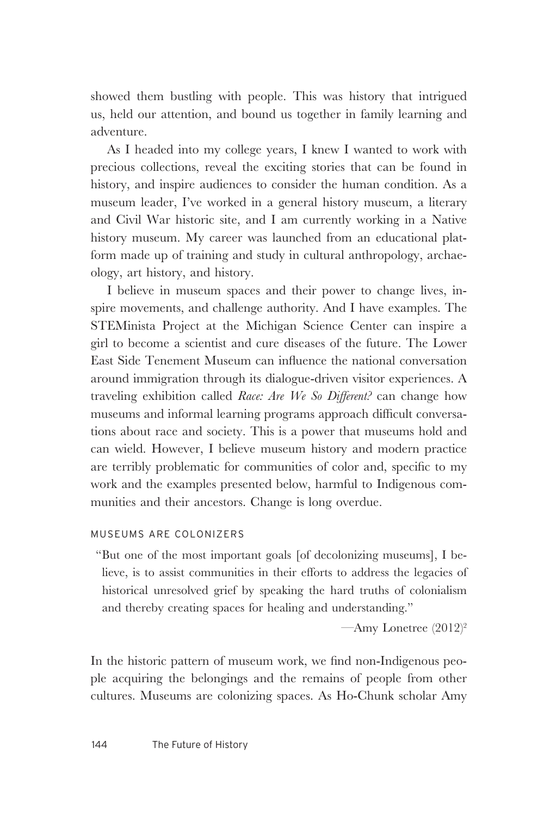showed them bustling with people. This was history that intrigued us, held our attention, and bound us together in family learning and adventure.

As I headed into my college years, I knew I wanted to work with precious collections, reveal the exciting stories that can be found in history, and inspire audiences to consider the human condition. As a museum leader, I've worked in a general history museum, a literary and Civil War historic site, and I am currently working in a Native history museum. My career was launched from an educational platform made up of training and study in cultural anthropology, archaeology, art history, and history.

I believe in museum spaces and their power to change lives, inspire movements, and challenge authority. And I have examples. The STEMinista Project at the Michigan Science Center can inspire a girl to become a scientist and cure diseases of the future. The Lower East Side Tenement Museum can influence the national conversation around immigration through its dialogue-driven visitor experiences. A traveling exhibition called *Race: Are We So Different?* can change how museums and informal learning programs approach difficult conversations about race and society. This is a power that museums hold and can wield. However, I believe museum history and modern practice are terribly problematic for communities of color and, specific to my work and the examples presented below, harmful to Indigenous communities and their ancestors. Change is long overdue.

## Museums Are Colonizers

"But one of the most important goals [of decolonizing museums], I believe, is to assist communities in their efforts to address the legacies of historical unresolved grief by speaking the hard truths of colonialism and thereby creating spaces for healing and understanding."

—Amy Lonetree  $(2012)^2$ 

In the historic pattern of museum work, we find non-Indigenous people acquiring the belongings and the remains of people from other cultures. Museums are colonizing spaces. As Ho-Chunk scholar Amy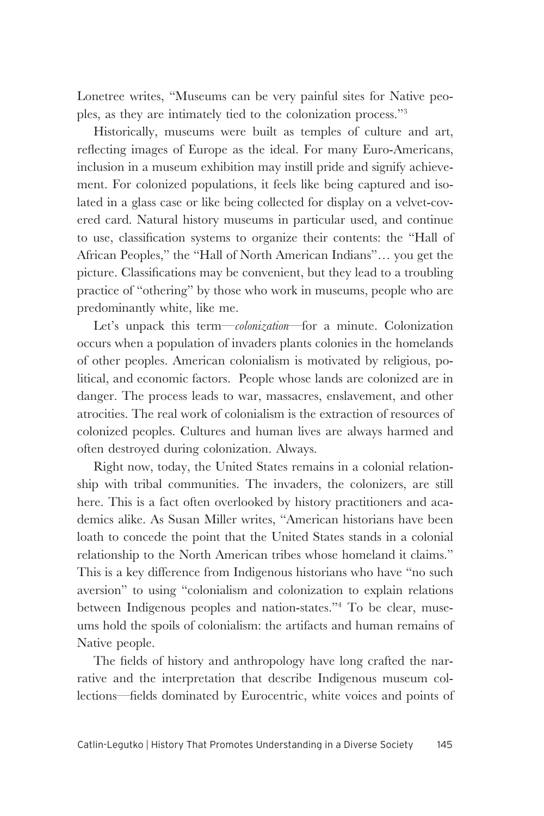Lonetree writes, "Museums can be very painful sites for Native peoples, as they are intimately tied to the colonization process."3

Historically, museums were built as temples of culture and art, reflecting images of Europe as the ideal. For many Euro-Americans, inclusion in a museum exhibition may instill pride and signify achievement. For colonized populations, it feels like being captured and isolated in a glass case or like being collected for display on a velvet-covered card. Natural history museums in particular used, and continue to use, classification systems to organize their contents: the "Hall of African Peoples," the "Hall of North American Indians"… you get the picture. Classifications may be convenient, but they lead to a troubling practice of "othering" by those who work in museums, people who are predominantly white, like me.

Let's unpack this term—*colonization*—for a minute. Colonization occurs when a population of invaders plants colonies in the homelands of other peoples. American colonialism is motivated by religious, political, and economic factors. People whose lands are colonized are in danger. The process leads to war, massacres, enslavement, and other atrocities. The real work of colonialism is the extraction of resources of colonized peoples. Cultures and human lives are always harmed and often destroyed during colonization. Always.

Right now, today, the United States remains in a colonial relationship with tribal communities. The invaders, the colonizers, are still here. This is a fact often overlooked by history practitioners and academics alike. As Susan Miller writes, "American historians have been loath to concede the point that the United States stands in a colonial relationship to the North American tribes whose homeland it claims." This is a key difference from Indigenous historians who have "no such aversion" to using "colonialism and colonization to explain relations between Indigenous peoples and nation-states."4 To be clear, museums hold the spoils of colonialism: the artifacts and human remains of Native people.

The fields of history and anthropology have long crafted the narrative and the interpretation that describe Indigenous museum collections—fields dominated by Eurocentric, white voices and points of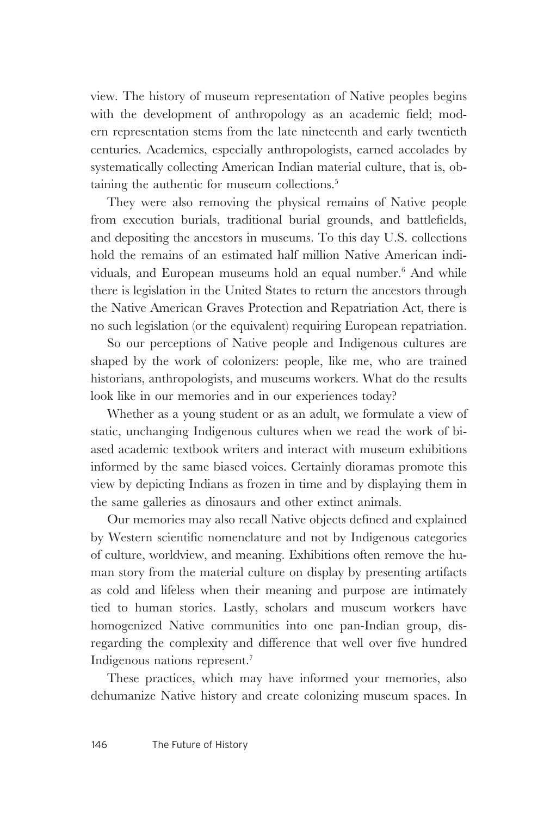view. The history of museum representation of Native peoples begins with the development of anthropology as an academic field; modern representation stems from the late nineteenth and early twentieth centuries. Academics, especially anthropologists, earned accolades by systematically collecting American Indian material culture, that is, obtaining the authentic for museum collections.<sup>5</sup>

They were also removing the physical remains of Native people from execution burials, traditional burial grounds, and battlefields, and depositing the ancestors in museums. To this day U.S. collections hold the remains of an estimated half million Native American individuals, and European museums hold an equal number.<sup>6</sup> And while there is legislation in the United States to return the ancestors through the Native American Graves Protection and Repatriation Act, there is no such legislation (or the equivalent) requiring European repatriation.

So our perceptions of Native people and Indigenous cultures are shaped by the work of colonizers: people, like me, who are trained historians, anthropologists, and museums workers. What do the results look like in our memories and in our experiences today?

Whether as a young student or as an adult, we formulate a view of static, unchanging Indigenous cultures when we read the work of biased academic textbook writers and interact with museum exhibitions informed by the same biased voices. Certainly dioramas promote this view by depicting Indians as frozen in time and by displaying them in the same galleries as dinosaurs and other extinct animals.

Our memories may also recall Native objects defined and explained by Western scientific nomenclature and not by Indigenous categories of culture, worldview, and meaning. Exhibitions often remove the human story from the material culture on display by presenting artifacts as cold and lifeless when their meaning and purpose are intimately tied to human stories. Lastly, scholars and museum workers have homogenized Native communities into one pan-Indian group, disregarding the complexity and difference that well over five hundred Indigenous nations represent.7

These practices, which may have informed your memories, also dehumanize Native history and create colonizing museum spaces. In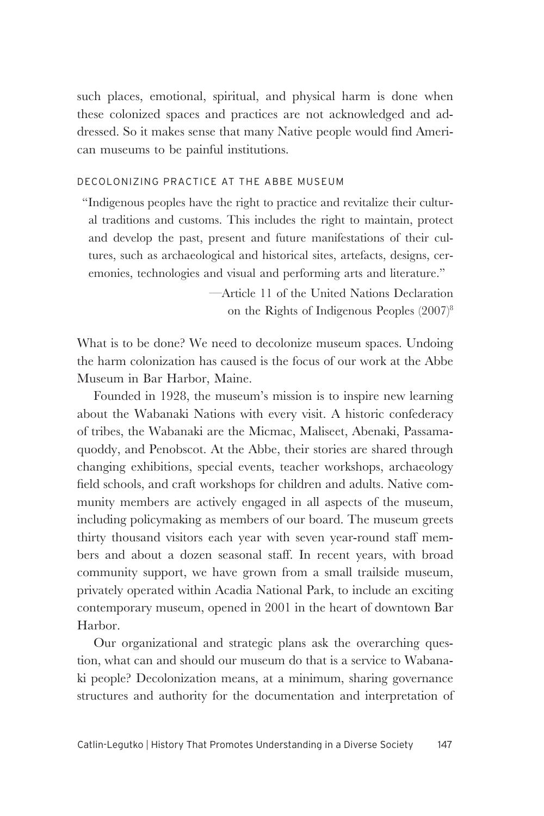such places, emotional, spiritual, and physical harm is done when these colonized spaces and practices are not acknowledged and addressed. So it makes sense that many Native people would find American museums to be painful institutions.

## Decolonizing Practice at the Abbe Museum

"Indigenous peoples have the right to practice and revitalize their cultural traditions and customs. This includes the right to maintain, protect and develop the past, present and future manifestations of their cultures, such as archaeological and historical sites, artefacts, designs, ceremonies, technologies and visual and performing arts and literature."

> —Article 11 of the United Nations Declaration on the Rights of Indigenous Peoples (2007)8

What is to be done? We need to decolonize museum spaces. Undoing the harm colonization has caused is the focus of our work at the Abbe Museum in Bar Harbor, Maine.

Founded in 1928, the museum's mission is to inspire new learning about the Wabanaki Nations with every visit. A historic confederacy of tribes, the Wabanaki are the Micmac, Maliseet, Abenaki, Passamaquoddy, and Penobscot. At the Abbe, their stories are shared through changing exhibitions, special events, teacher workshops, archaeology field schools, and craft workshops for children and adults. Native community members are actively engaged in all aspects of the museum, including policymaking as members of our board. The museum greets thirty thousand visitors each year with seven year-round staff members and about a dozen seasonal staff. In recent years, with broad community support, we have grown from a small trailside museum, privately operated within Acadia National Park, to include an exciting contemporary museum, opened in 2001 in the heart of downtown Bar Harbor.

Our organizational and strategic plans ask the overarching question, what can and should our museum do that is a service to Wabanaki people? Decolonization means, at a minimum, sharing governance structures and authority for the documentation and interpretation of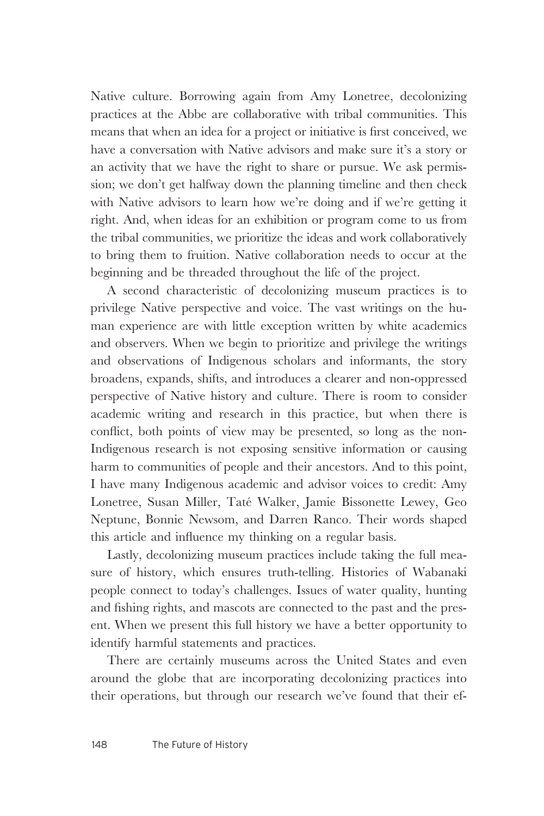Native culture. Borrowing again from Amy Lonetree, decolonizing practices at the Abbe are collaborative with tribal communities. This means that when an idea for a project or initiative is first conceived, we have a conversation with Native advisors and make sure it's a story or an activity that we have the right to share or pursue. We ask permission; we don't get halfway down the planning timeline and then check with Native advisors to learn how we're doing and if we're getting it right. And, when ideas for an exhibition or program come to us from the tribal communities, we prioritize the ideas and work collaboratively to bring them to fruition. Native collaboration needs to occur at the beginning and be threaded throughout the life of the project.

A second characteristic of decolonizing museum practices is to privilege Native perspective and voice. The vast writings on the human experience are with little exception written by white academics and observers. When we begin to prioritize and privilege the writings and observations of Indigenous scholars and informants, the story broadens, expands, shifts, and introduces a clearer and non-oppressed perspective of Native history and culture. There is room to consider academic writing and research in this practice, but when there is conflict, both points of view may be presented, so long as the non-Indigenous research is not exposing sensitive information or causing harm to communities of people and their ancestors. And to this point, I have many Indigenous academic and advisor voices to credit: Amy Lonetree, Susan Miller, Taté Walker, Jamie Bissonette Lewey, Geo Neptune, Bonnie Newsom, and Darren Ranco. Their words shaped this article and influence my thinking on a regular basis.

Lastly, decolonizing museum practices include taking the full measure of history, which ensures truth-telling. Histories of Wabanaki people connect to today's challenges. Issues of water quality, hunting and fishing rights, and mascots are connected to the past and the present. When we present this full history we have a better opportunity to identify harmful statements and practices.

There are certainly museums across the United States and even around the globe that are incorporating decolonizing practices into their operations, but through our research we've found that their ef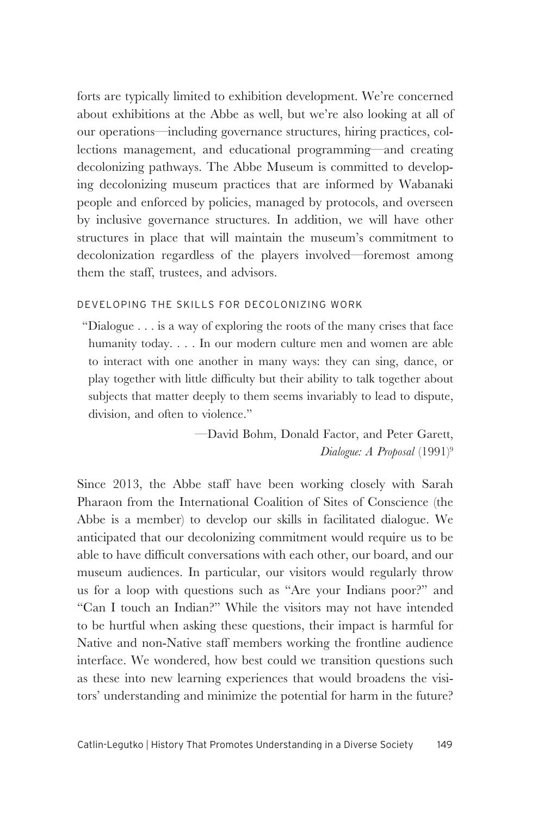forts are typically limited to exhibition development. We're concerned about exhibitions at the Abbe as well, but we're also looking at all of our operations—including governance structures, hiring practices, collections management, and educational programming—and creating decolonizing pathways. The Abbe Museum is committed to developing decolonizing museum practices that are informed by Wabanaki people and enforced by policies, managed by protocols, and overseen by inclusive governance structures. In addition, we will have other structures in place that will maintain the museum's commitment to decolonization regardless of the players involved—foremost among them the staff, trustees, and advisors.

## Developing the Skills for Decolonizing Work

"Dialogue . . . is a way of exploring the roots of the many crises that face humanity today. . . . In our modern culture men and women are able to interact with one another in many ways: they can sing, dance, or play together with little difficulty but their ability to talk together about subjects that matter deeply to them seems invariably to lead to dispute, division, and often to violence."

> —David Bohm, Donald Factor, and Peter Garett, *Dialogue: A Proposal* (1991)9

Since 2013, the Abbe staff have been working closely with Sarah Pharaon from the International Coalition of Sites of Conscience (the Abbe is a member) to develop our skills in facilitated dialogue. We anticipated that our decolonizing commitment would require us to be able to have difficult conversations with each other, our board, and our museum audiences. In particular, our visitors would regularly throw us for a loop with questions such as "Are your Indians poor?" and "Can I touch an Indian?" While the visitors may not have intended to be hurtful when asking these questions, their impact is harmful for Native and non-Native staff members working the frontline audience interface. We wondered, how best could we transition questions such as these into new learning experiences that would broadens the visitors' understanding and minimize the potential for harm in the future?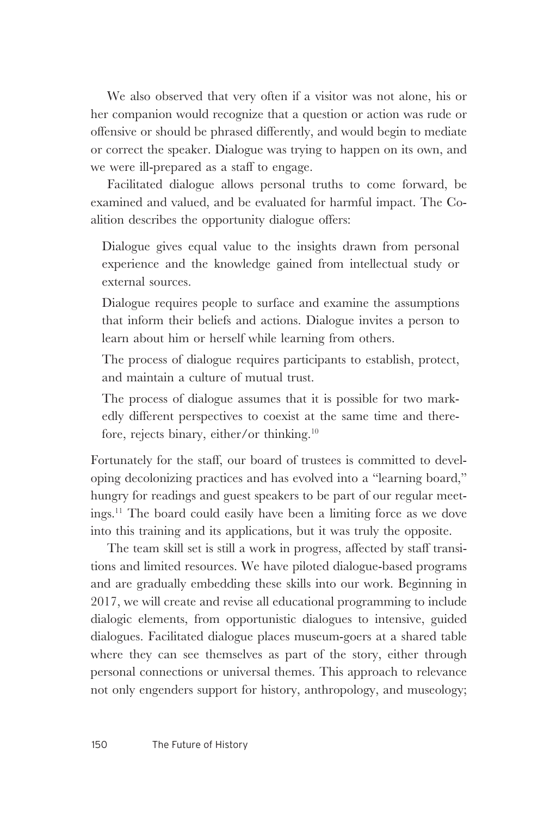We also observed that very often if a visitor was not alone, his or her companion would recognize that a question or action was rude or offensive or should be phrased differently, and would begin to mediate or correct the speaker. Dialogue was trying to happen on its own, and we were ill-prepared as a staff to engage.

Facilitated dialogue allows personal truths to come forward, be examined and valued, and be evaluated for harmful impact. The Coalition describes the opportunity dialogue offers:

Dialogue gives equal value to the insights drawn from personal experience and the knowledge gained from intellectual study or external sources.

Dialogue requires people to surface and examine the assumptions that inform their beliefs and actions. Dialogue invites a person to learn about him or herself while learning from others.

The process of dialogue requires participants to establish, protect, and maintain a culture of mutual trust.

The process of dialogue assumes that it is possible for two markedly different perspectives to coexist at the same time and therefore, rejects binary, either/or thinking.10

Fortunately for the staff, our board of trustees is committed to developing decolonizing practices and has evolved into a "learning board," hungry for readings and guest speakers to be part of our regular meetings.11 The board could easily have been a limiting force as we dove into this training and its applications, but it was truly the opposite.

The team skill set is still a work in progress, affected by staff transitions and limited resources. We have piloted dialogue-based programs and are gradually embedding these skills into our work. Beginning in 2017, we will create and revise all educational programming to include dialogic elements, from opportunistic dialogues to intensive, guided dialogues. Facilitated dialogue places museum-goers at a shared table where they can see themselves as part of the story, either through personal connections or universal themes. This approach to relevance not only engenders support for history, anthropology, and museology;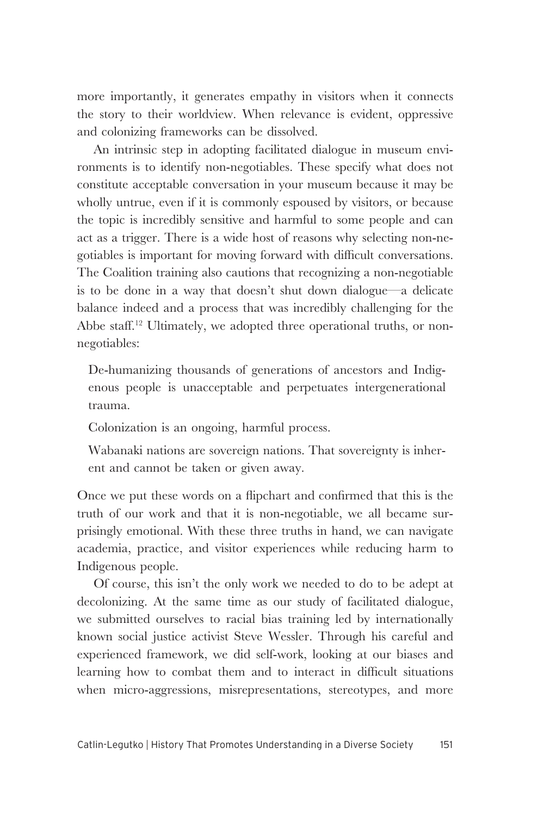more importantly, it generates empathy in visitors when it connects the story to their worldview. When relevance is evident, oppressive and colonizing frameworks can be dissolved.

An intrinsic step in adopting facilitated dialogue in museum environments is to identify non-negotiables. These specify what does not constitute acceptable conversation in your museum because it may be wholly untrue, even if it is commonly espoused by visitors, or because the topic is incredibly sensitive and harmful to some people and can act as a trigger. There is a wide host of reasons why selecting non-negotiables is important for moving forward with difficult conversations. The Coalition training also cautions that recognizing a non-negotiable is to be done in a way that doesn't shut down dialogue—a delicate balance indeed and a process that was incredibly challenging for the Abbe staff.<sup>12</sup> Ultimately, we adopted three operational truths, or nonnegotiables:

De-humanizing thousands of generations of ancestors and Indigenous people is unacceptable and perpetuates intergenerational trauma.

Colonization is an ongoing, harmful process.

Wabanaki nations are sovereign nations. That sovereignty is inherent and cannot be taken or given away.

Once we put these words on a flipchart and confirmed that this is the truth of our work and that it is non-negotiable, we all became surprisingly emotional. With these three truths in hand, we can navigate academia, practice, and visitor experiences while reducing harm to Indigenous people.

Of course, this isn't the only work we needed to do to be adept at decolonizing. At the same time as our study of facilitated dialogue, we submitted ourselves to racial bias training led by internationally known social justice activist Steve Wessler. Through his careful and experienced framework, we did self-work, looking at our biases and learning how to combat them and to interact in difficult situations when micro-aggressions, misrepresentations, stereotypes, and more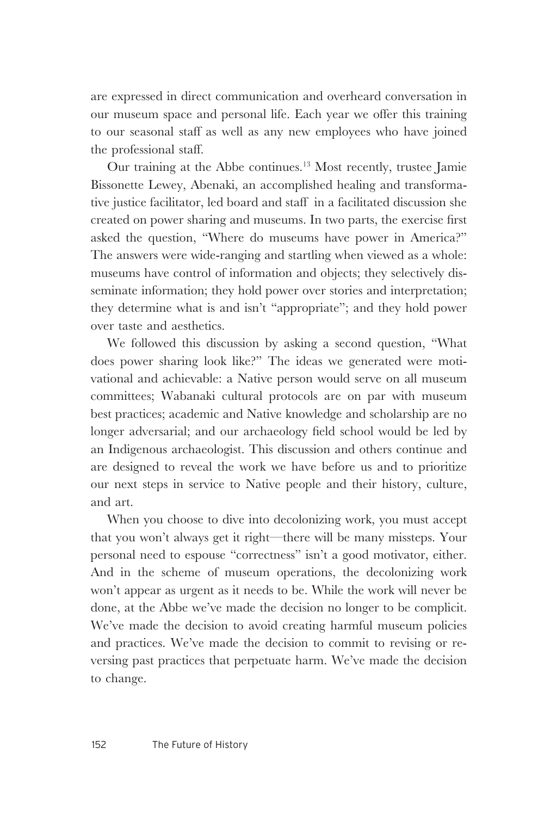are expressed in direct communication and overheard conversation in our museum space and personal life. Each year we offer this training to our seasonal staff as well as any new employees who have joined the professional staff.

Our training at the Abbe continues.13 Most recently, trustee Jamie Bissonette Lewey, Abenaki, an accomplished healing and transformative justice facilitator, led board and staff in a facilitated discussion she created on power sharing and museums. In two parts, the exercise first asked the question, "Where do museums have power in America?" The answers were wide-ranging and startling when viewed as a whole: museums have control of information and objects; they selectively disseminate information; they hold power over stories and interpretation; they determine what is and isn't "appropriate"; and they hold power over taste and aesthetics.

We followed this discussion by asking a second question, "What does power sharing look like?" The ideas we generated were motivational and achievable: a Native person would serve on all museum committees; Wabanaki cultural protocols are on par with museum best practices; academic and Native knowledge and scholarship are no longer adversarial; and our archaeology field school would be led by an Indigenous archaeologist. This discussion and others continue and are designed to reveal the work we have before us and to prioritize our next steps in service to Native people and their history, culture, and art.

When you choose to dive into decolonizing work, you must accept that you won't always get it right—there will be many missteps. Your personal need to espouse "correctness" isn't a good motivator, either. And in the scheme of museum operations, the decolonizing work won't appear as urgent as it needs to be. While the work will never be done, at the Abbe we've made the decision no longer to be complicit. We've made the decision to avoid creating harmful museum policies and practices. We've made the decision to commit to revising or reversing past practices that perpetuate harm. We've made the decision to change.